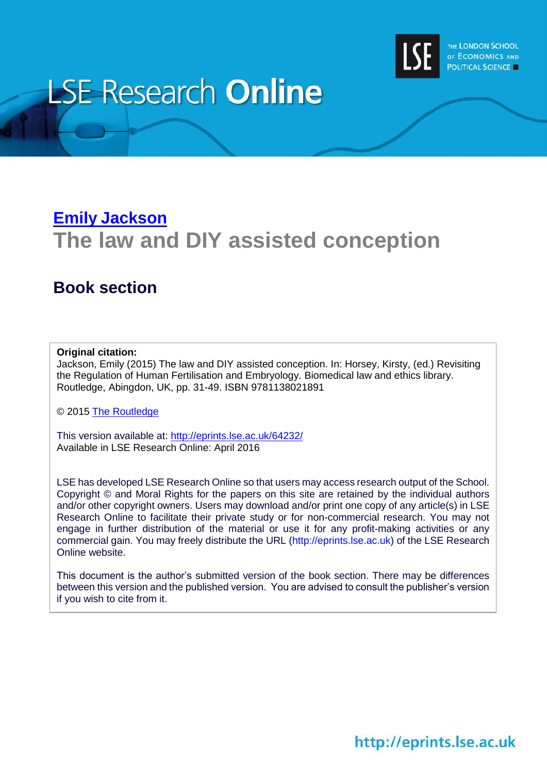

# **LSE Research Online**

## **Emily [Jackson](http://www.lse.ac.uk/researchAndExpertise/Experts/profile.aspx?KeyValue=e.jackson@lse.ac.uk) The law and DIY assisted conception**

## **Book section**

#### **Original citation:**

Jackson, Emily (2015) The law and DIY assisted conception. In: Horsey, Kirsty, (ed.) Revisiting the Regulation of Human Fertilisation and Embryology. Biomedical law and ethics library. Routledge, Abingdon, UK, pp. 31-49. ISBN 9781138021891

© 2015 [The Routledge](https://www.routledge.com/products/9781138021891)

This version available at:<http://eprints.lse.ac.uk/64232/> Available in LSE Research Online: April 2016

LSE has developed LSE Research Online so that users may access research output of the School. Copyright © and Moral Rights for the papers on this site are retained by the individual authors and/or other copyright owners. Users may download and/or print one copy of any article(s) in LSE Research Online to facilitate their private study or for non-commercial research. You may not engage in further distribution of the material or use it for any profit-making activities or any commercial gain. You may freely distribute the URL (http://eprints.lse.ac.uk) of the LSE Research Online website.

This document is the author's submitted version of the book section. There may be differences between this version and the published version. You are advised to consult the publisher's version if you wish to cite from it.

http://eprints.lse.ac.uk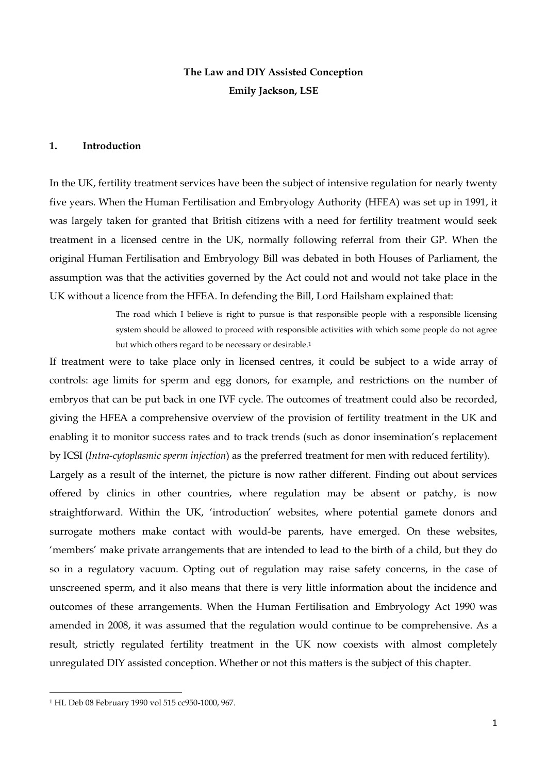### **The Law and DIY Assisted Conception Emily Jackson, LSE**

#### **1. Introduction**

In the UK, fertility treatment services have been the subject of intensive regulation for nearly twenty five years. When the Human Fertilisation and Embryology Authority (HFEA) was set up in 1991, it was largely taken for granted that British citizens with a need for fertility treatment would seek treatment in a licensed centre in the UK, normally following referral from their GP. When the original Human Fertilisation and Embryology Bill was debated in both Houses of Parliament, the assumption was that the activities governed by the Act could not and would not take place in the UK without a licence from the HFEA. In defending the Bill, Lord Hailsham explained that:

> The road which I believe is right to pursue is that responsible people with a responsible licensing system should be allowed to proceed with responsible activities with which some people do not agree but which others regard to be necessary or desirable.<sup>1</sup>

If treatment were to take place only in licensed centres, it could be subject to a wide array of controls: age limits for sperm and egg donors, for example, and restrictions on the number of embryos that can be put back in one IVF cycle. The outcomes of treatment could also be recorded, giving the HFEA a comprehensive overview of the provision of fertility treatment in the UK and enabling it to monitor success rates and to track trends (such as donor insemination's replacement by ICSI (*Intra-cytoplasmic sperm injection*) as the preferred treatment for men with reduced fertility).

Largely as a result of the internet, the picture is now rather different. Finding out about services offered by clinics in other countries, where regulation may be absent or patchy, is now straightforward. Within the UK, 'introduction' websites, where potential gamete donors and surrogate mothers make contact with would-be parents, have emerged. On these websites, 'members' make private arrangements that are intended to lead to the birth of a child, but they do so in a regulatory vacuum. Opting out of regulation may raise safety concerns, in the case of unscreened sperm, and it also means that there is very little information about the incidence and outcomes of these arrangements. When the Human Fertilisation and Embryology Act 1990 was amended in 2008, it was assumed that the regulation would continue to be comprehensive. As a result, strictly regulated fertility treatment in the UK now coexists with almost completely unregulated DIY assisted conception. Whether or not this matters is the subject of this chapter.

<sup>1</sup> HL Deb 08 February 1990 vol 515 cc950-1000, 967.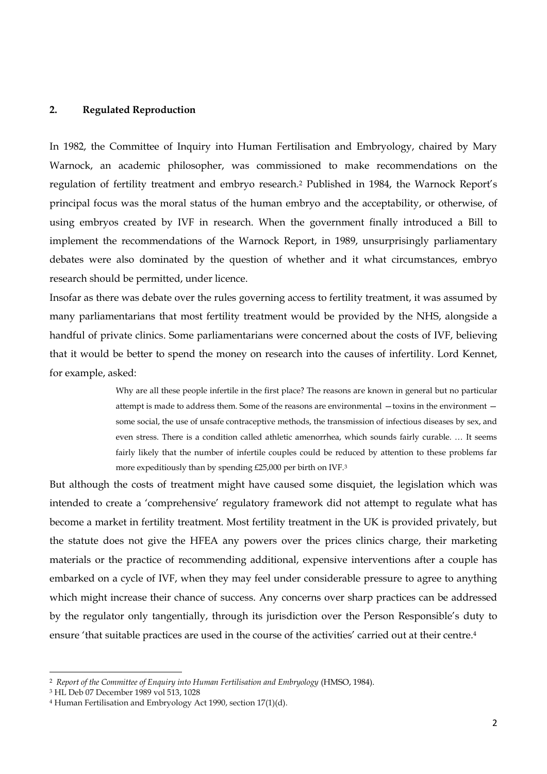#### **2. Regulated Reproduction**

In 1982, the Committee of Inquiry into Human Fertilisation and Embryology, chaired by Mary Warnock, an academic philosopher, was commissioned to make recommendations on the regulation of fertility treatment and embryo research.<sup>2</sup> Published in 1984, the Warnock Report's principal focus was the moral status of the human embryo and the acceptability, or otherwise, of using embryos created by IVF in research. When the government finally introduced a Bill to implement the recommendations of the Warnock Report, in 1989, unsurprisingly parliamentary debates were also dominated by the question of whether and it what circumstances, embryo research should be permitted, under licence.

Insofar as there was debate over the rules governing access to fertility treatment, it was assumed by many parliamentarians that most fertility treatment would be provided by the NHS, alongside a handful of private clinics. Some parliamentarians were concerned about the costs of IVF, believing that it would be better to spend the money on research into the causes of infertility. Lord Kennet, for example, asked:

> Why are all these people infertile in the first place? The reasons are known in general but no particular attempt is made to address them. Some of the reasons are environmental —toxins in the environment some social, the use of unsafe contraceptive methods, the transmission of infectious diseases by sex, and even stress. There is a condition called athletic amenorrhea, which sounds fairly curable. … It seems fairly likely that the number of infertile couples could be reduced by attention to these problems far more expeditiously than by spending £25,000 per birth on IVF.<sup>3</sup>

But although the costs of treatment might have caused some disquiet, the legislation which was intended to create a 'comprehensive' regulatory framework did not attempt to regulate what has become a market in fertility treatment. Most fertility treatment in the UK is provided privately, but the statute does not give the HFEA any powers over the prices clinics charge, their marketing materials or the practice of recommending additional, expensive interventions after a couple has embarked on a cycle of IVF, when they may feel under considerable pressure to agree to anything which might increase their chance of success. Any concerns over sharp practices can be addressed by the regulator only tangentially, through its jurisdiction over the Person Responsible's duty to ensure 'that suitable practices are used in the course of the activities' carried out at their centre.<sup>4</sup>

<sup>2</sup> *Report of the Committee of Enquiry into Human Fertilisation and Embryology* (HMSO, 1984).

<sup>3</sup> HL Deb 07 December 1989 vol 513, 1028

<sup>4</sup> Human Fertilisation and Embryology Act 1990, section 17(1)(d).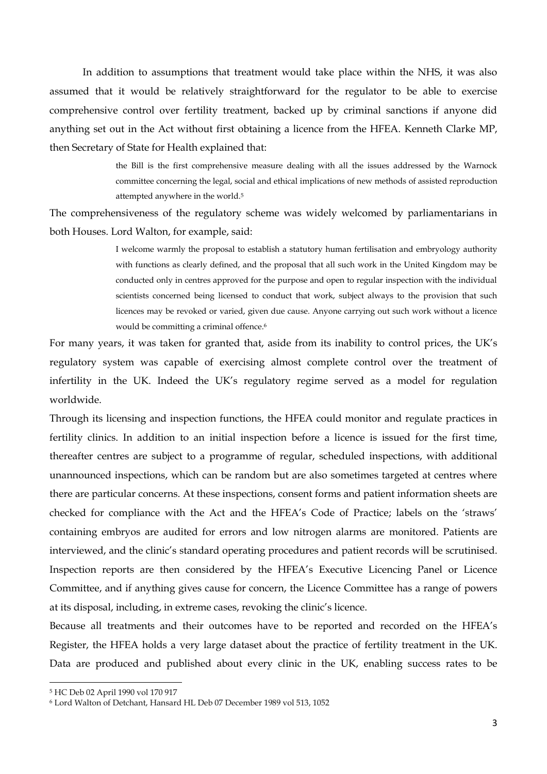In addition to assumptions that treatment would take place within the NHS, it was also assumed that it would be relatively straightforward for the regulator to be able to exercise comprehensive control over fertility treatment, backed up by criminal sanctions if anyone did anything set out in the Act without first obtaining a licence from the HFEA. Kenneth Clarke MP, then Secretary of State for Health explained that:

> the Bill is the first comprehensive measure dealing with all the issues addressed by the Warnock committee concerning the legal, social and ethical implications of new methods of assisted reproduction attempted anywhere in the world.<sup>5</sup>

The comprehensiveness of the regulatory scheme was widely welcomed by parliamentarians in both Houses. Lord Walton, for example, said:

> I welcome warmly the proposal to establish a statutory human fertilisation and embryology authority with functions as clearly defined, and the proposal that all such work in the United Kingdom may be conducted only in centres approved for the purpose and open to regular inspection with the individual scientists concerned being licensed to conduct that work, subject always to the provision that such licences may be revoked or varied, given due cause. Anyone carrying out such work without a licence would be committing a criminal offence.<sup>6</sup>

For many years, it was taken for granted that, aside from its inability to control prices, the UK's regulatory system was capable of exercising almost complete control over the treatment of infertility in the UK. Indeed the UK's regulatory regime served as a model for regulation worldwide.

Through its licensing and inspection functions, the HFEA could monitor and regulate practices in fertility clinics. In addition to an initial inspection before a licence is issued for the first time, thereafter centres are subject to a programme of regular, scheduled inspections, with additional unannounced inspections, which can be random but are also sometimes targeted at centres where there are particular concerns. At these inspections, consent forms and patient information sheets are checked for compliance with the Act and the HFEA's Code of Practice; labels on the 'straws' containing embryos are audited for errors and low nitrogen alarms are monitored. Patients are interviewed, and the clinic's standard operating procedures and patient records will be scrutinised. Inspection reports are then considered by the HFEA's Executive Licencing Panel or Licence Committee, and if anything gives cause for concern, the Licence Committee has a range of powers at its disposal, including, in extreme cases, revoking the clinic's licence.

Because all treatments and their outcomes have to be reported and recorded on the HFEA's Register, the HFEA holds a very large dataset about the practice of fertility treatment in the UK. Data are produced and published about every clinic in the UK, enabling success rates to be

<sup>5</sup> HC Deb 02 April 1990 vol 170 917

<sup>6</sup> Lord Walton of Detchant, Hansard HL Deb 07 December 1989 vol 513, 1052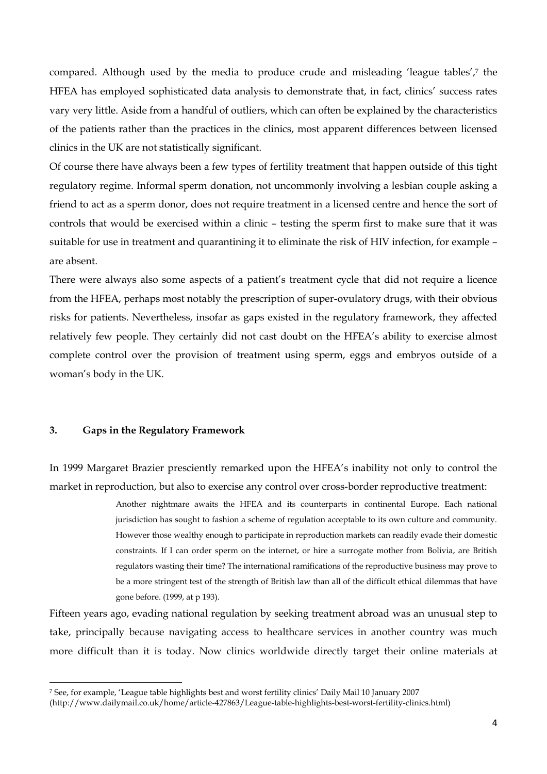compared. Although used by the media to produce crude and misleading 'league tables', <sup>7</sup> the HFEA has employed sophisticated data analysis to demonstrate that, in fact, clinics' success rates vary very little. Aside from a handful of outliers, which can often be explained by the characteristics of the patients rather than the practices in the clinics, most apparent differences between licensed clinics in the UK are not statistically significant.

Of course there have always been a few types of fertility treatment that happen outside of this tight regulatory regime. Informal sperm donation, not uncommonly involving a lesbian couple asking a friend to act as a sperm donor, does not require treatment in a licensed centre and hence the sort of controls that would be exercised within a clinic – testing the sperm first to make sure that it was suitable for use in treatment and quarantining it to eliminate the risk of HIV infection, for example – are absent.

There were always also some aspects of a patient's treatment cycle that did not require a licence from the HFEA, perhaps most notably the prescription of super-ovulatory drugs, with their obvious risks for patients. Nevertheless, insofar as gaps existed in the regulatory framework, they affected relatively few people. They certainly did not cast doubt on the HFEA's ability to exercise almost complete control over the provision of treatment using sperm, eggs and embryos outside of a woman's body in the UK.

#### **3. Gaps in the Regulatory Framework**

**.** 

In 1999 Margaret Brazier presciently remarked upon the HFEA's inability not only to control the market in reproduction, but also to exercise any control over cross-border reproductive treatment:

> Another nightmare awaits the HFEA and its counterparts in continental Europe. Each national jurisdiction has sought to fashion a scheme of regulation acceptable to its own culture and community. However those wealthy enough to participate in reproduction markets can readily evade their domestic constraints. If I can order sperm on the internet, or hire a surrogate mother from Bolivia, are British regulators wasting their time? The international ramifications of the reproductive business may prove to be a more stringent test of the strength of British law than all of the difficult ethical dilemmas that have gone before. (1999, at p 193).

Fifteen years ago, evading national regulation by seeking treatment abroad was an unusual step to take, principally because navigating access to healthcare services in another country was much more difficult than it is today. Now clinics worldwide directly target their online materials at

<sup>7</sup> See, for example, 'League table highlights best and worst fertility clinics' Daily Mail 10 January 2007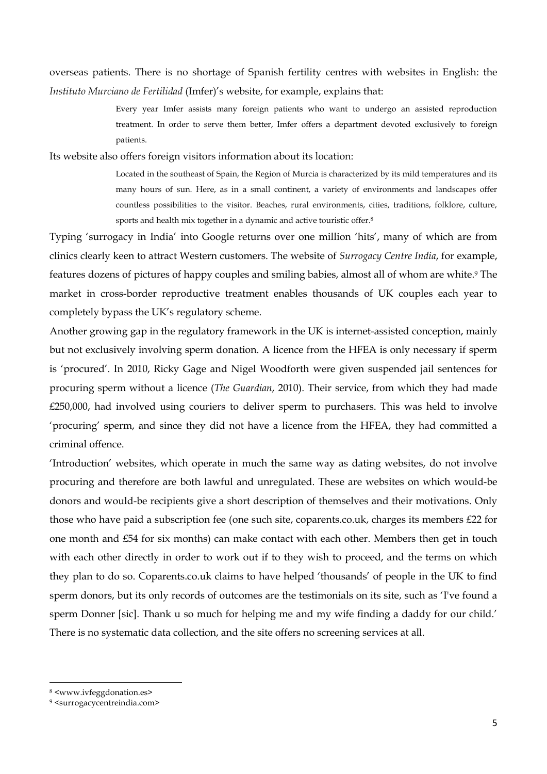overseas patients. There is no shortage of Spanish fertility centres with websites in English: the *Instituto Murciano de Fertilidad* (Imfer)'s website, for example, explains that:

> Every year Imfer assists many foreign patients who want to undergo an assisted reproduction treatment. In order to serve them better, Imfer offers a department devoted exclusively to foreign patients.

Its website also offers foreign visitors information about its location:

Located in the southeast of Spain, the Region of Murcia is characterized by its mild temperatures and its many hours of sun. Here, as in a small continent, a variety of environments and landscapes offer countless possibilities to the visitor. Beaches, rural environments, cities, traditions, folklore, culture, sports and health mix together in a dynamic and active touristic offer. 8

Typing 'surrogacy in India' into Google returns over one million 'hits', many of which are from clinics clearly keen to attract Western customers. The website of *Surrogacy Centre India*, for example, features dozens of pictures of happy couples and smiling babies, almost all of whom are white.<sup>9</sup> The market in cross-border reproductive treatment enables thousands of UK couples each year to completely bypass the UK's regulatory scheme.

Another growing gap in the regulatory framework in the UK is internet-assisted conception, mainly but not exclusively involving sperm donation. A licence from the HFEA is only necessary if sperm is 'procured'. In 2010, Ricky Gage and Nigel Woodforth were given suspended jail sentences for procuring sperm without a licence (*The Guardian*, 2010). Their service, from which they had made £250,000, had involved using couriers to deliver sperm to purchasers. This was held to involve 'procuring' sperm, and since they did not have a licence from the HFEA, they had committed a criminal offence.

'Introduction' websites, which operate in much the same way as dating websites, do not involve procuring and therefore are both lawful and unregulated. These are websites on which would-be donors and would-be recipients give a short description of themselves and their motivations. Only those who have paid a subscription fee (one such site, coparents.co.uk, charges its members £22 for one month and £54 for six months) can make contact with each other. Members then get in touch with each other directly in order to work out if to they wish to proceed, and the terms on which they plan to do so. Coparents.co.uk claims to have helped 'thousands' of people in the UK to find sperm donors, but its only records of outcomes are the testimonials on its site, such as 'I've found a sperm Donner [sic]. Thank u so much for helping me and my wife finding a daddy for our child.' There is no systematic data collection, and the site offers no screening services at all.

<sup>8</sup> <www.ivfeggdonation.es>

<sup>9</sup> <surrogacycentreindia.com>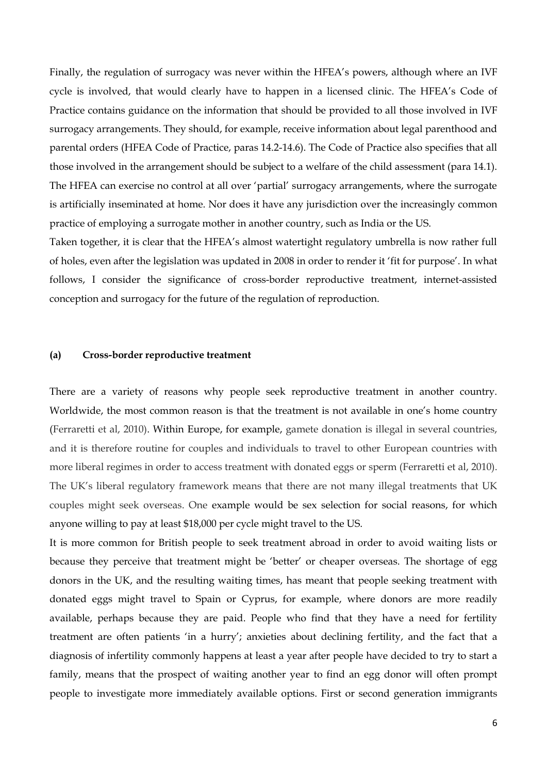Finally, the regulation of surrogacy was never within the HFEA's powers, although where an IVF cycle is involved, that would clearly have to happen in a licensed clinic. The HFEA's Code of Practice contains guidance on the information that should be provided to all those involved in IVF surrogacy arrangements. They should, for example, receive information about legal parenthood and parental orders (HFEA Code of Practice, paras 14.2-14.6). The Code of Practice also specifies that all those involved in the arrangement should be subject to a welfare of the child assessment (para 14.1). The HFEA can exercise no control at all over 'partial' surrogacy arrangements, where the surrogate is artificially inseminated at home. Nor does it have any jurisdiction over the increasingly common practice of employing a surrogate mother in another country, such as India or the US.

Taken together, it is clear that the HFEA's almost watertight regulatory umbrella is now rather full of holes, even after the legislation was updated in 2008 in order to render it 'fit for purpose'. In what follows, I consider the significance of cross-border reproductive treatment, internet-assisted conception and surrogacy for the future of the regulation of reproduction.

#### **(a) Cross-border reproductive treatment**

There are a variety of reasons why people seek reproductive treatment in another country. Worldwide, the most common reason is that the treatment is not available in one's home country (Ferraretti et al, 2010). Within Europe, for example, gamete donation is illegal in several countries, and it is therefore routine for couples and individuals to travel to other European countries with more liberal regimes in order to access treatment with donated eggs or sperm (Ferraretti et al, 2010). The UK's liberal regulatory framework means that there are not many illegal treatments that UK couples might seek overseas. One example would be sex selection for social reasons, for which anyone willing to pay at least \$18,000 per cycle might travel to the US.

It is more common for British people to seek treatment abroad in order to avoid waiting lists or because they perceive that treatment might be 'better' or cheaper overseas. The shortage of egg donors in the UK, and the resulting waiting times, has meant that people seeking treatment with donated eggs might travel to Spain or Cyprus, for example, where donors are more readily available, perhaps because they are paid. People who find that they have a need for fertility treatment are often patients 'in a hurry'; anxieties about declining fertility, and the fact that a diagnosis of infertility commonly happens at least a year after people have decided to try to start a family, means that the prospect of waiting another year to find an egg donor will often prompt people to investigate more immediately available options. First or second generation immigrants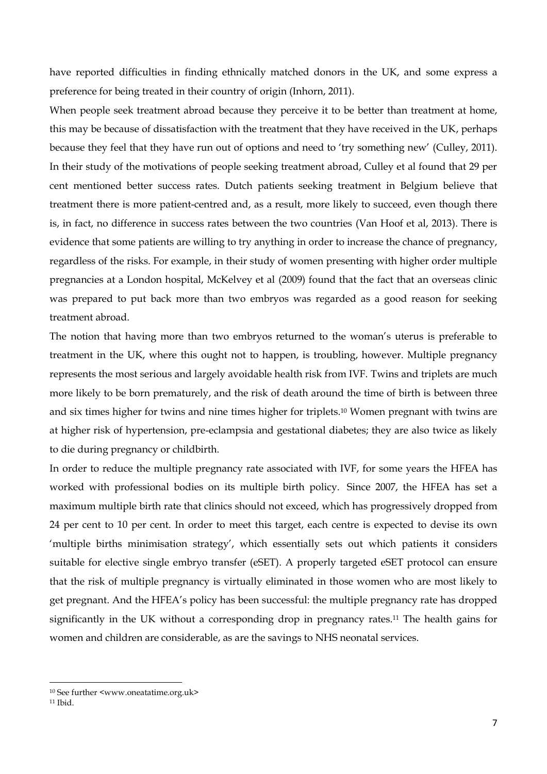have reported difficulties in finding ethnically matched donors in the UK, and some express a preference for being treated in their country of origin (Inhorn, 2011).

When people seek treatment abroad because they perceive it to be better than treatment at home, this may be because of dissatisfaction with the treatment that they have received in the UK, perhaps because they feel that they have run out of options and need to 'try something new' (Culley, 2011). In their study of the motivations of people seeking treatment abroad, Culley et al found that 29 per cent mentioned better success rates. Dutch patients seeking treatment in Belgium believe that treatment there is more patient-centred and, as a result, more likely to succeed, even though there is, in fact, no difference in success rates between the two countries (Van Hoof et al, 2013). There is evidence that some patients are willing to try anything in order to increase the chance of pregnancy, regardless of the risks. For example, in their study of women presenting with higher order multiple pregnancies at a London hospital, McKelvey et al (2009) found that the fact that an overseas clinic was prepared to put back more than two embryos was regarded as a good reason for seeking treatment abroad.

The notion that having more than two embryos returned to the woman's uterus is preferable to treatment in the UK, where this ought not to happen, is troubling, however. Multiple pregnancy represents the most serious and largely avoidable health risk from IVF. Twins and triplets are much more likely to be born prematurely, and the risk of death around the time of birth is between three and six times higher for twins and nine times higher for triplets.<sup>10</sup> Women pregnant with twins are at higher risk of hypertension, pre-eclampsia and gestational diabetes; they are also twice as likely to die during pregnancy or childbirth.

In order to reduce the multiple pregnancy rate associated with IVF, for some years the HFEA has worked with professional bodies on its multiple birth policy. Since 2007, the HFEA has set a maximum multiple birth rate that clinics should not exceed, which has progressively dropped from 24 per cent to 10 per cent. In order to meet this target, each centre is expected to devise its own 'multiple births minimisation strategy', which essentially sets out which patients it considers suitable for elective single embryo transfer (eSET). A properly targeted eSET protocol can ensure that the risk of multiple pregnancy is virtually eliminated in those women who are most likely to get pregnant. And the HFEA's policy has been successful: the multiple pregnancy rate has dropped significantly in the UK without a corresponding drop in pregnancy rates.<sup>11</sup> The health gains for women and children are considerable, as are the savings to NHS neonatal services.

<sup>10</sup> See further <www.oneatatime.org.uk>

 $11$  Ibid.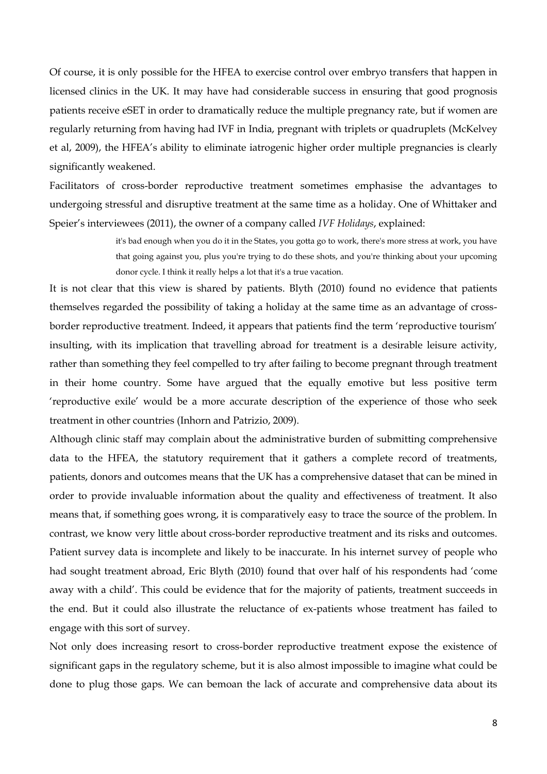Of course, it is only possible for the HFEA to exercise control over embryo transfers that happen in licensed clinics in the UK. It may have had considerable success in ensuring that good prognosis patients receive eSET in order to dramatically reduce the multiple pregnancy rate, but if women are regularly returning from having had IVF in India, pregnant with triplets or quadruplets (McKelvey et al, 2009), the HFEA's ability to eliminate iatrogenic higher order multiple pregnancies is clearly significantly weakened.

Facilitators of cross-border reproductive treatment sometimes emphasise the advantages to undergoing stressful and disruptive treatment at the same time as a holiday. One of Whittaker and Speier's interviewees (2011), the owner of a company called *IVF Holidays*, explained:

> it's bad enough when you do it in the States, you gotta go to work, there's more stress at work, you have that going against you, plus you're trying to do these shots, and you're thinking about your upcoming donor cycle. I think it really helps a lot that it's a true vacation.

It is not clear that this view is shared by patients. Blyth (2010) found no evidence that patients themselves regarded the possibility of taking a holiday at the same time as an advantage of crossborder reproductive treatment. Indeed, it appears that patients find the term 'reproductive tourism' insulting, with its implication that travelling abroad for treatment is a desirable leisure activity, rather than something they feel compelled to try after failing to become pregnant through treatment in their home country. Some have argued that the equally emotive but less positive term 'reproductive exile' would be a more accurate description of the experience of those who seek treatment in other countries (Inhorn and Patrizio, 2009).

Although clinic staff may complain about the administrative burden of submitting comprehensive data to the HFEA, the statutory requirement that it gathers a complete record of treatments, patients, donors and outcomes means that the UK has a comprehensive dataset that can be mined in order to provide invaluable information about the quality and effectiveness of treatment. It also means that, if something goes wrong, it is comparatively easy to trace the source of the problem. In contrast, we know very little about cross-border reproductive treatment and its risks and outcomes. Patient survey data is incomplete and likely to be inaccurate. In his internet survey of people who had sought treatment abroad, Eric Blyth (2010) found that over half of his respondents had 'come away with a child'. This could be evidence that for the majority of patients, treatment succeeds in the end. But it could also illustrate the reluctance of ex-patients whose treatment has failed to engage with this sort of survey.

Not only does increasing resort to cross-border reproductive treatment expose the existence of significant gaps in the regulatory scheme, but it is also almost impossible to imagine what could be done to plug those gaps. We can bemoan the lack of accurate and comprehensive data about its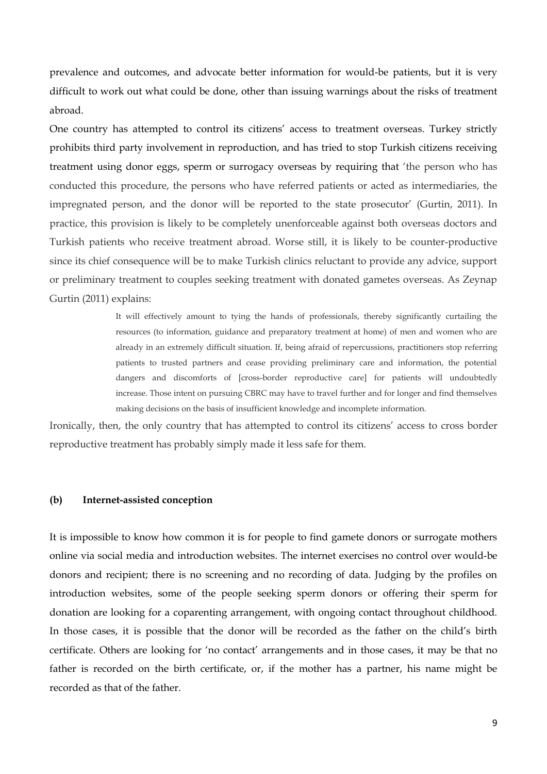prevalence and outcomes, and advocate better information for would-be patients, but it is very difficult to work out what could be done, other than issuing warnings about the risks of treatment abroad.

One country has attempted to control its citizens' access to treatment overseas. Turkey strictly prohibits third party involvement in reproduction, and has tried to stop Turkish citizens receiving treatment using donor eggs, sperm or surrogacy overseas by requiring that 'the person who has conducted this procedure, the persons who have referred patients or acted as intermediaries, the impregnated person, and the donor will be reported to the state prosecutor' (Gurtin, 2011). In practice, this provision is likely to be completely unenforceable against both overseas doctors and Turkish patients who receive treatment abroad. Worse still, it is likely to be counter-productive since its chief consequence will be to make Turkish clinics reluctant to provide any advice, support or preliminary treatment to couples seeking treatment with donated gametes overseas. As Zeynap Gurtin (2011) explains:

> It will effectively amount to tying the hands of professionals, thereby significantly curtailing the resources (to information, guidance and preparatory treatment at home) of men and women who are already in an extremely difficult situation. If, being afraid of repercussions, practitioners stop referring patients to trusted partners and cease providing preliminary care and information, the potential dangers and discomforts of [cross-border reproductive care] for patients will undoubtedly increase. Those intent on pursuing CBRC may have to travel further and for longer and find themselves making decisions on the basis of insufficient knowledge and incomplete information.

Ironically, then, the only country that has attempted to control its citizens' access to cross border reproductive treatment has probably simply made it less safe for them.

#### **(b) Internet-assisted conception**

It is impossible to know how common it is for people to find gamete donors or surrogate mothers online via social media and introduction websites. The internet exercises no control over would-be donors and recipient; there is no screening and no recording of data. Judging by the profiles on introduction websites, some of the people seeking sperm donors or offering their sperm for donation are looking for a coparenting arrangement, with ongoing contact throughout childhood. In those cases, it is possible that the donor will be recorded as the father on the child's birth certificate. Others are looking for 'no contact' arrangements and in those cases, it may be that no father is recorded on the birth certificate, or, if the mother has a partner, his name might be recorded as that of the father.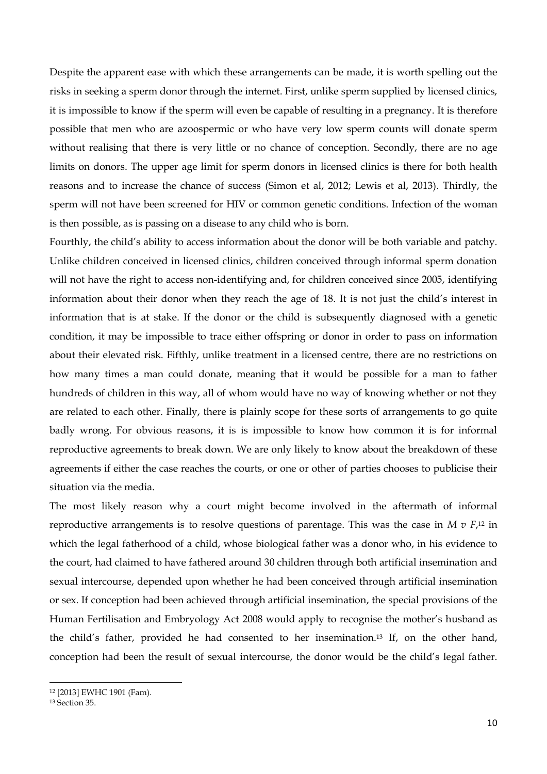Despite the apparent ease with which these arrangements can be made, it is worth spelling out the risks in seeking a sperm donor through the internet. First, unlike sperm supplied by licensed clinics, it is impossible to know if the sperm will even be capable of resulting in a pregnancy. It is therefore possible that men who are azoospermic or who have very low sperm counts will donate sperm without realising that there is very little or no chance of conception. Secondly, there are no age limits on donors. The upper age limit for sperm donors in licensed clinics is there for both health reasons and to increase the chance of success (Simon et al, 2012; Lewis et al, 2013). Thirdly, the sperm will not have been screened for HIV or common genetic conditions. Infection of the woman is then possible, as is passing on a disease to any child who is born.

Fourthly, the child's ability to access information about the donor will be both variable and patchy. Unlike children conceived in licensed clinics, children conceived through informal sperm donation will not have the right to access non-identifying and, for children conceived since 2005, identifying information about their donor when they reach the age of 18. It is not just the child's interest in information that is at stake. If the donor or the child is subsequently diagnosed with a genetic condition, it may be impossible to trace either offspring or donor in order to pass on information about their elevated risk. Fifthly, unlike treatment in a licensed centre, there are no restrictions on how many times a man could donate, meaning that it would be possible for a man to father hundreds of children in this way, all of whom would have no way of knowing whether or not they are related to each other. Finally, there is plainly scope for these sorts of arrangements to go quite badly wrong. For obvious reasons, it is is impossible to know how common it is for informal reproductive agreements to break down. We are only likely to know about the breakdown of these agreements if either the case reaches the courts, or one or other of parties chooses to publicise their situation via the media.

The most likely reason why a court might become involved in the aftermath of informal reproductive arrangements is to resolve questions of parentage. This was the case in *M v F*, <sup>12</sup> in which the legal fatherhood of a child, whose biological father was a donor who, in his evidence to the court, had claimed to have fathered around 30 children through both artificial insemination and sexual intercourse, depended upon whether he had been conceived through artificial insemination or sex. If conception had been achieved through artificial insemination, the special provisions of the Human Fertilisation and Embryology Act 2008 would apply to recognise the mother's husband as the child's father, provided he had consented to her insemination.<sup>13</sup> If, on the other hand, conception had been the result of sexual intercourse, the donor would be the child's legal father.

<sup>12</sup> [2013] EWHC 1901 (Fam).

<sup>13</sup> Section 35.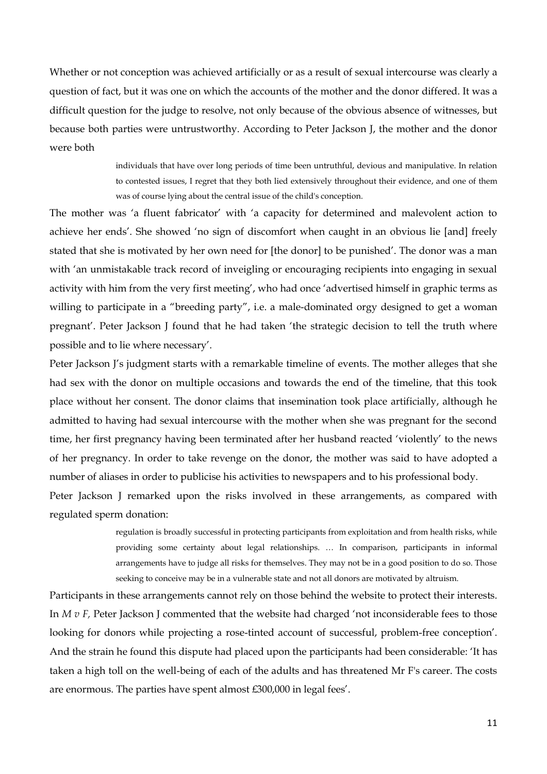Whether or not conception was achieved artificially or as a result of sexual intercourse was clearly a question of fact, but it was one on which the accounts of the mother and the donor differed. It was a difficult question for the judge to resolve, not only because of the obvious absence of witnesses, but because both parties were untrustworthy. According to Peter Jackson J, the mother and the donor were both

> individuals that have over long periods of time been untruthful, devious and manipulative. In relation to contested issues, I regret that they both lied extensively throughout their evidence, and one of them was of course lying about the central issue of the child's conception.

The mother was 'a fluent fabricator' with 'a capacity for determined and malevolent action to achieve her ends'. She showed 'no sign of discomfort when caught in an obvious lie [and] freely stated that she is motivated by her own need for [the donor] to be punished'. The donor was a man with 'an unmistakable track record of inveigling or encouraging recipients into engaging in sexual activity with him from the very first meeting', who had once 'advertised himself in graphic terms as willing to participate in a "breeding party", i.e. a male-dominated orgy designed to get a woman pregnant'. Peter Jackson J found that he had taken 'the strategic decision to tell the truth where possible and to lie where necessary'.

Peter Jackson I's judgment starts with a remarkable timeline of events. The mother alleges that she had sex with the donor on multiple occasions and towards the end of the timeline, that this took place without her consent. The donor claims that insemination took place artificially, although he admitted to having had sexual intercourse with the mother when she was pregnant for the second time, her first pregnancy having been terminated after her husband reacted 'violently' to the news of her pregnancy. In order to take revenge on the donor, the mother was said to have adopted a number of aliases in order to publicise his activities to newspapers and to his professional body.

Peter Jackson J remarked upon the risks involved in these arrangements, as compared with regulated sperm donation:

> regulation is broadly successful in protecting participants from exploitation and from health risks, while providing some certainty about legal relationships. … In comparison, participants in informal arrangements have to judge all risks for themselves. They may not be in a good position to do so. Those seeking to conceive may be in a vulnerable state and not all donors are motivated by altruism.

Participants in these arrangements cannot rely on those behind the website to protect their interests. In *M v F*, Peter Jackson J commented that the website had charged 'not inconsiderable fees to those looking for donors while projecting a rose-tinted account of successful, problem-free conception'. And the strain he found this dispute had placed upon the participants had been considerable: 'It has taken a high toll on the well-being of each of the adults and has threatened Mr F's career. The costs are enormous. The parties have spent almost £300,000 in legal fees'.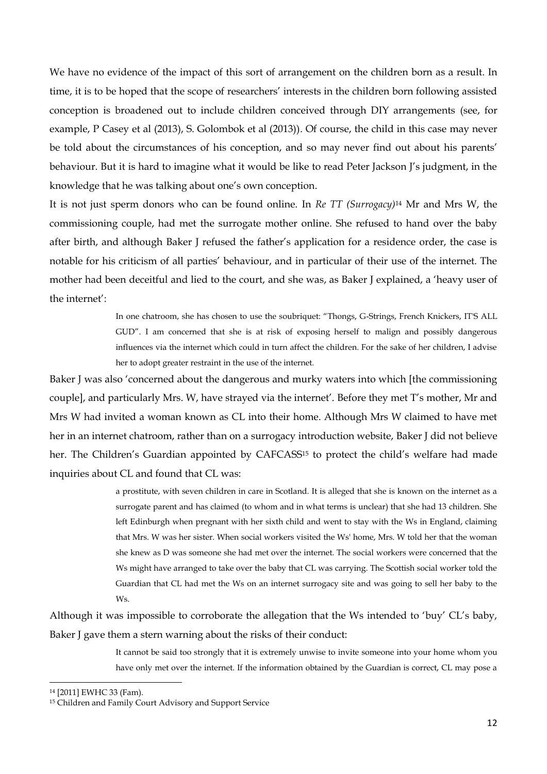We have no evidence of the impact of this sort of arrangement on the children born as a result. In time, it is to be hoped that the scope of researchers' interests in the children born following assisted conception is broadened out to include children conceived through DIY arrangements (see, for example, P Casey et al (2013), S. Golombok et al (2013)). Of course, the child in this case may never be told about the circumstances of his conception, and so may never find out about his parents' behaviour. But it is hard to imagine what it would be like to read Peter Jackson J's judgment, in the knowledge that he was talking about one's own conception.

It is not just sperm donors who can be found online. In *Re TT (Surrogacy)*<sup>14</sup> Mr and Mrs W, the commissioning couple, had met the surrogate mother online. She refused to hand over the baby after birth, and although Baker J refused the father's application for a residence order, the case is notable for his criticism of all parties' behaviour, and in particular of their use of the internet. The mother had been deceitful and lied to the court, and she was, as Baker J explained, a 'heavy user of the internet':

> In one chatroom, she has chosen to use the soubriquet: "Thongs, G-Strings, French Knickers, IT'S ALL GUD". I am concerned that she is at risk of exposing herself to malign and possibly dangerous influences via the internet which could in turn affect the children. For the sake of her children, I advise her to adopt greater restraint in the use of the internet.

Baker J was also 'concerned about the dangerous and murky waters into which [the commissioning couple], and particularly Mrs. W, have strayed via the internet'. Before they met T's mother, Mr and Mrs W had invited a woman known as CL into their home. Although Mrs W claimed to have met her in an internet chatroom, rather than on a surrogacy introduction website, Baker J did not believe her. The Children's Guardian appointed by CAFCASS<sup>15</sup> to protect the child's welfare had made inquiries about CL and found that CL was:

> a prostitute, with seven children in care in Scotland. It is alleged that she is known on the internet as a surrogate parent and has claimed (to whom and in what terms is unclear) that she had 13 children. She left Edinburgh when pregnant with her sixth child and went to stay with the Ws in England, claiming that Mrs. W was her sister. When social workers visited the Ws' home, Mrs. W told her that the woman she knew as D was someone she had met over the internet. The social workers were concerned that the Ws might have arranged to take over the baby that CL was carrying. The Scottish social worker told the Guardian that CL had met the Ws on an internet surrogacy site and was going to sell her baby to the Ws.

Although it was impossible to corroborate the allegation that the Ws intended to 'buy' CL's baby, Baker J gave them a stern warning about the risks of their conduct:

> It cannot be said too strongly that it is extremely unwise to invite someone into your home whom you have only met over the internet. If the information obtained by the Guardian is correct, CL may pose a

<sup>14</sup> [2011] EWHC 33 (Fam).

<sup>15</sup> Children and Family Court Advisory and Support Service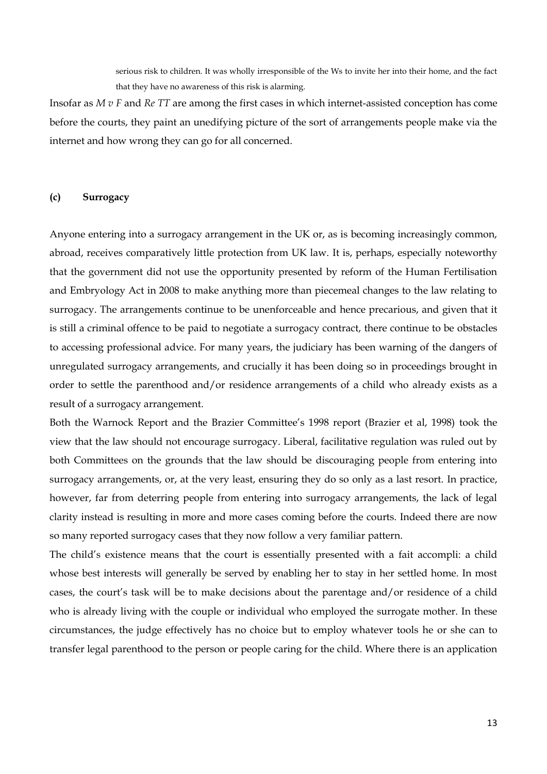serious risk to children. It was wholly irresponsible of the Ws to invite her into their home, and the fact that they have no awareness of this risk is alarming.

Insofar as *M v F* and *Re TT* are among the first cases in which internet-assisted conception has come before the courts, they paint an unedifying picture of the sort of arrangements people make via the internet and how wrong they can go for all concerned.

#### **(c) Surrogacy**

Anyone entering into a surrogacy arrangement in the UK or, as is becoming increasingly common, abroad, receives comparatively little protection from UK law. It is, perhaps, especially noteworthy that the government did not use the opportunity presented by reform of the Human Fertilisation and Embryology Act in 2008 to make anything more than piecemeal changes to the law relating to surrogacy. The arrangements continue to be unenforceable and hence precarious, and given that it is still a criminal offence to be paid to negotiate a surrogacy contract, there continue to be obstacles to accessing professional advice. For many years, the judiciary has been warning of the dangers of unregulated surrogacy arrangements, and crucially it has been doing so in proceedings brought in order to settle the parenthood and/or residence arrangements of a child who already exists as a result of a surrogacy arrangement.

Both the Warnock Report and the Brazier Committee's 1998 report (Brazier et al, 1998) took the view that the law should not encourage surrogacy. Liberal, facilitative regulation was ruled out by both Committees on the grounds that the law should be discouraging people from entering into surrogacy arrangements, or, at the very least, ensuring they do so only as a last resort. In practice, however, far from deterring people from entering into surrogacy arrangements, the lack of legal clarity instead is resulting in more and more cases coming before the courts. Indeed there are now so many reported surrogacy cases that they now follow a very familiar pattern.

The child's existence means that the court is essentially presented with a fait accompli: a child whose best interests will generally be served by enabling her to stay in her settled home. In most cases, the court's task will be to make decisions about the parentage and/or residence of a child who is already living with the couple or individual who employed the surrogate mother. In these circumstances, the judge effectively has no choice but to employ whatever tools he or she can to transfer legal parenthood to the person or people caring for the child. Where there is an application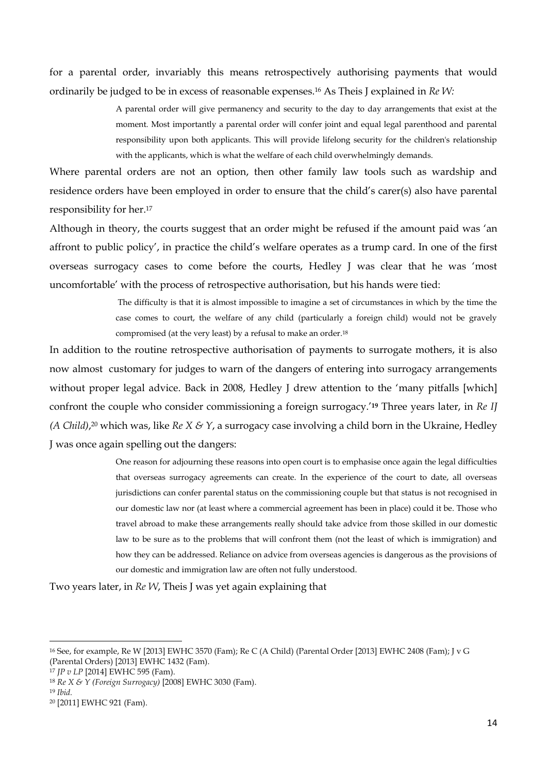for a parental order, invariably this means retrospectively authorising payments that would ordinarily be judged to be in excess of reasonable expenses.<sup>16</sup> As Theis J explained in *Re W:*

> A parental order will give permanency and security to the day to day arrangements that exist at the moment. Most importantly a parental order will confer joint and equal legal parenthood and parental responsibility upon both applicants. This will provide lifelong security for the children's relationship with the applicants, which is what the welfare of each child overwhelmingly demands.

Where parental orders are not an option, then other family law tools such as wardship and residence orders have been employed in order to ensure that the child's carer(s) also have parental responsibility for her. 17

Although in theory, the courts suggest that an order might be refused if the amount paid was 'an affront to public policy', in practice the child's welfare operates as a trump card. In one of the first overseas surrogacy cases to come before the courts, Hedley J was clear that he was 'most uncomfortable' with the process of retrospective authorisation, but his hands were tied:

> The difficulty is that it is almost impossible to imagine a set of circumstances in which by the time the case comes to court, the welfare of any child (particularly a foreign child) would not be gravely compromised (at the very least) by a refusal to make an order.<sup>18</sup>

In addition to the routine retrospective authorisation of payments to surrogate mothers, it is also now almost customary for judges to warn of the dangers of entering into surrogacy arrangements without proper legal advice. Back in 2008, Hedley J drew attention to the 'many pitfalls [which] confront the couple who consider commissioning a foreign surrogacy.'**<sup>19</sup>** Three years later, in *Re IJ (A Child)*, <sup>20</sup> which was, like *Re X & Y*, a surrogacy case involving a child born in the Ukraine, Hedley J was once again spelling out the dangers:

> One reason for adjourning these reasons into open court is to emphasise once again the legal difficulties that overseas surrogacy agreements can create. In the experience of the court to date, all overseas jurisdictions can confer parental status on the commissioning couple but that status is not recognised in our domestic law nor (at least where a commercial agreement has been in place) could it be. Those who travel abroad to make these arrangements really should take advice from those skilled in our domestic law to be sure as to the problems that will confront them (not the least of which is immigration) and how they can be addressed. Reliance on advice from overseas agencies is dangerous as the provisions of our domestic and immigration law are often not fully understood.

Two years later, in *Re W*, Theis J was yet again explaining that

 $\overline{a}$ 

<sup>16</sup> See, for example, Re W [2013] EWHC 3570 (Fam); Re C (A Child) (Parental Order [2013] EWHC 2408 (Fam); J v G (Parental Orders) [2013] EWHC 1432 (Fam).

<sup>17</sup> *JP v LP* [2014] EWHC 595 (Fam).

<sup>18</sup> *Re X & Y (Foreign Surrogacy)* [2008] EWHC 3030 (Fam).

<sup>19</sup> *Ibid.*

<sup>20</sup> [2011] EWHC 921 (Fam).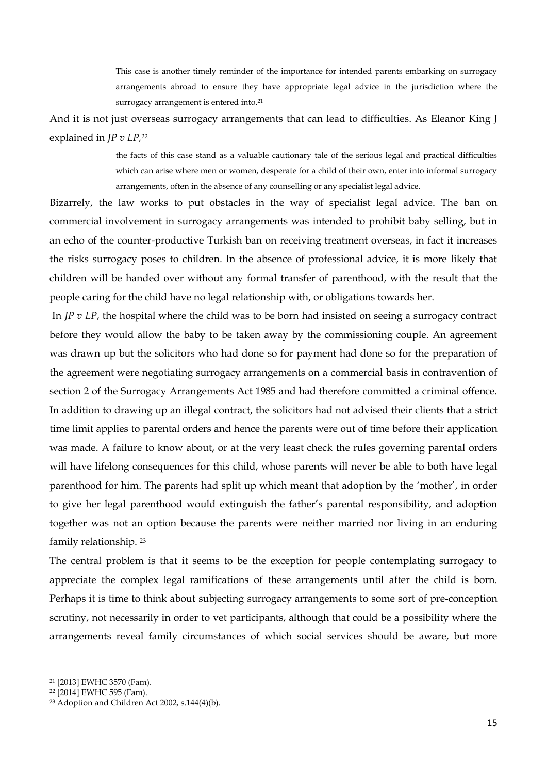This case is another timely reminder of the importance for intended parents embarking on surrogacy arrangements abroad to ensure they have appropriate legal advice in the jurisdiction where the surrogacy arrangement is entered into.<sup>21</sup>

And it is not just overseas surrogacy arrangements that can lead to difficulties. As Eleanor King J explained in *JP v LP,* 22

> the facts of this case stand as a valuable cautionary tale of the serious legal and practical difficulties which can arise where men or women, desperate for a child of their own, enter into informal surrogacy arrangements, often in the absence of any counselling or any specialist legal advice.

Bizarrely, the law works to put obstacles in the way of specialist legal advice. The ban on commercial involvement in surrogacy arrangements was intended to prohibit baby selling, but in an echo of the counter-productive Turkish ban on receiving treatment overseas, in fact it increases the risks surrogacy poses to children. In the absence of professional advice, it is more likely that children will be handed over without any formal transfer of parenthood, with the result that the people caring for the child have no legal relationship with, or obligations towards her.

In *JP v LP*, the hospital where the child was to be born had insisted on seeing a surrogacy contract before they would allow the baby to be taken away by the commissioning couple. An agreement was drawn up but the solicitors who had done so for payment had done so for the preparation of the agreement were negotiating surrogacy arrangements on a commercial basis in contravention of section 2 of the Surrogacy Arrangements Act 1985 and had therefore committed a criminal offence. In addition to drawing up an illegal contract, the solicitors had not advised their clients that a strict time limit applies to parental orders and hence the parents were out of time before their application was made. A failure to know about, or at the very least check the rules governing parental orders will have lifelong consequences for this child, whose parents will never be able to both have legal parenthood for him. The parents had split up which meant that adoption by the 'mother', in order to give her legal parenthood would extinguish the father's parental responsibility, and adoption together was not an option because the parents were neither married nor living in an enduring family relationship. <sup>23</sup>

The central problem is that it seems to be the exception for people contemplating surrogacy to appreciate the complex legal ramifications of these arrangements until after the child is born. Perhaps it is time to think about subjecting surrogacy arrangements to some sort of pre-conception scrutiny, not necessarily in order to vet participants, although that could be a possibility where the arrangements reveal family circumstances of which social services should be aware, but more

<sup>21</sup> [2013] EWHC 3570 (Fam).

<sup>22</sup> [2014] EWHC 595 (Fam).

<sup>23</sup> Adoption and Children Act 2002, s.144(4)(b).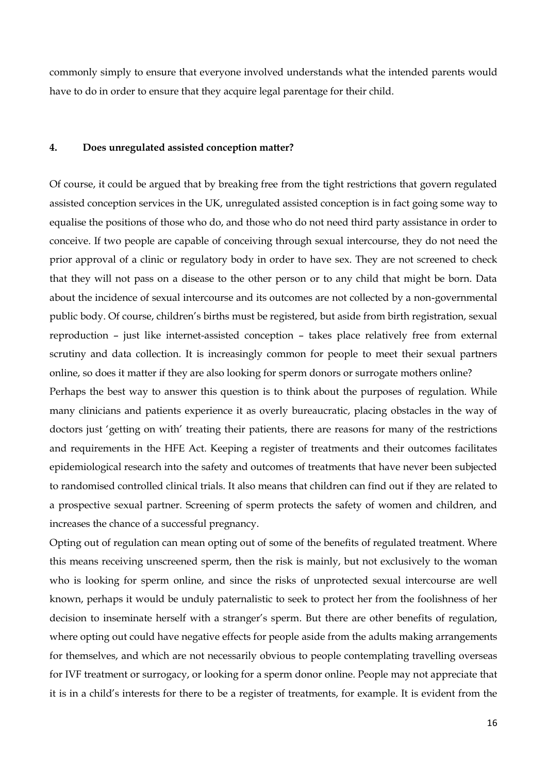commonly simply to ensure that everyone involved understands what the intended parents would have to do in order to ensure that they acquire legal parentage for their child.

#### **4. Does unregulated assisted conception matter?**

Of course, it could be argued that by breaking free from the tight restrictions that govern regulated assisted conception services in the UK, unregulated assisted conception is in fact going some way to equalise the positions of those who do, and those who do not need third party assistance in order to conceive. If two people are capable of conceiving through sexual intercourse, they do not need the prior approval of a clinic or regulatory body in order to have sex. They are not screened to check that they will not pass on a disease to the other person or to any child that might be born. Data about the incidence of sexual intercourse and its outcomes are not collected by a non-governmental public body. Of course, children's births must be registered, but aside from birth registration, sexual reproduction – just like internet-assisted conception – takes place relatively free from external scrutiny and data collection. It is increasingly common for people to meet their sexual partners online, so does it matter if they are also looking for sperm donors or surrogate mothers online?

Perhaps the best way to answer this question is to think about the purposes of regulation. While many clinicians and patients experience it as overly bureaucratic, placing obstacles in the way of doctors just 'getting on with' treating their patients, there are reasons for many of the restrictions and requirements in the HFE Act. Keeping a register of treatments and their outcomes facilitates epidemiological research into the safety and outcomes of treatments that have never been subjected to randomised controlled clinical trials. It also means that children can find out if they are related to a prospective sexual partner. Screening of sperm protects the safety of women and children, and increases the chance of a successful pregnancy.

Opting out of regulation can mean opting out of some of the benefits of regulated treatment. Where this means receiving unscreened sperm, then the risk is mainly, but not exclusively to the woman who is looking for sperm online, and since the risks of unprotected sexual intercourse are well known, perhaps it would be unduly paternalistic to seek to protect her from the foolishness of her decision to inseminate herself with a stranger's sperm. But there are other benefits of regulation, where opting out could have negative effects for people aside from the adults making arrangements for themselves, and which are not necessarily obvious to people contemplating travelling overseas for IVF treatment or surrogacy, or looking for a sperm donor online. People may not appreciate that it is in a child's interests for there to be a register of treatments, for example. It is evident from the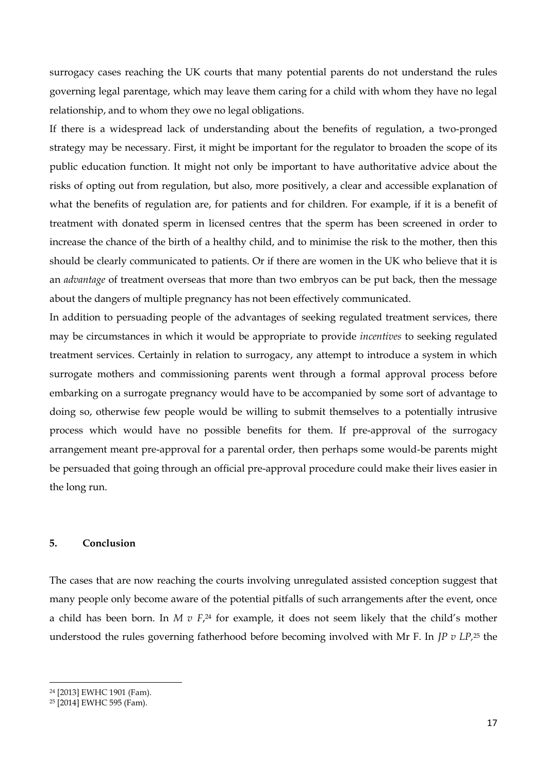surrogacy cases reaching the UK courts that many potential parents do not understand the rules governing legal parentage, which may leave them caring for a child with whom they have no legal relationship, and to whom they owe no legal obligations.

If there is a widespread lack of understanding about the benefits of regulation, a two-pronged strategy may be necessary. First, it might be important for the regulator to broaden the scope of its public education function. It might not only be important to have authoritative advice about the risks of opting out from regulation, but also, more positively, a clear and accessible explanation of what the benefits of regulation are, for patients and for children. For example, if it is a benefit of treatment with donated sperm in licensed centres that the sperm has been screened in order to increase the chance of the birth of a healthy child, and to minimise the risk to the mother, then this should be clearly communicated to patients. Or if there are women in the UK who believe that it is an *advantage* of treatment overseas that more than two embryos can be put back, then the message about the dangers of multiple pregnancy has not been effectively communicated.

In addition to persuading people of the advantages of seeking regulated treatment services, there may be circumstances in which it would be appropriate to provide *incentives* to seeking regulated treatment services. Certainly in relation to surrogacy, any attempt to introduce a system in which surrogate mothers and commissioning parents went through a formal approval process before embarking on a surrogate pregnancy would have to be accompanied by some sort of advantage to doing so, otherwise few people would be willing to submit themselves to a potentially intrusive process which would have no possible benefits for them. If pre-approval of the surrogacy arrangement meant pre-approval for a parental order, then perhaps some would-be parents might be persuaded that going through an official pre-approval procedure could make their lives easier in the long run.

#### **5. Conclusion**

The cases that are now reaching the courts involving unregulated assisted conception suggest that many people only become aware of the potential pitfalls of such arrangements after the event, once a child has been born. In *M v F*, <sup>24</sup> for example, it does not seem likely that the child's mother understood the rules governing fatherhood before becoming involved with Mr F. In *JP v LP,*<sup>25</sup> the

<sup>24</sup> [2013] EWHC 1901 (Fam).

<sup>&</sup>lt;sup>25</sup> [2014] EWHC 595 (Fam).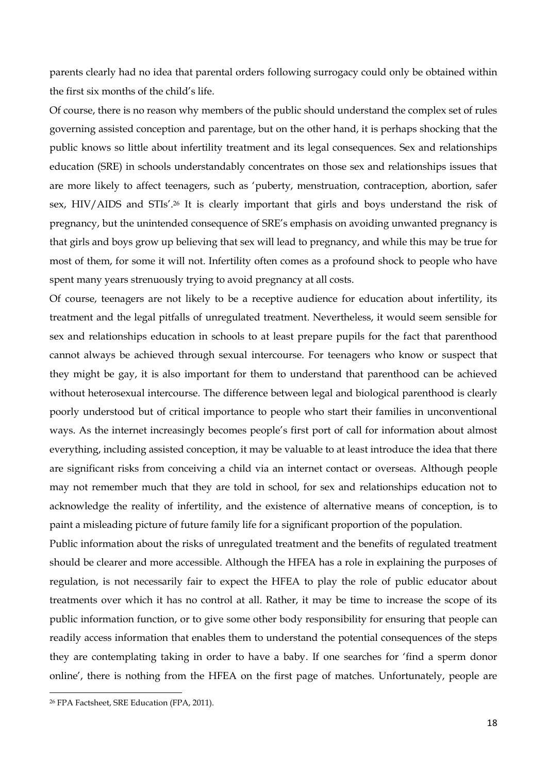parents clearly had no idea that parental orders following surrogacy could only be obtained within the first six months of the child's life.

Of course, there is no reason why members of the public should understand the complex set of rules governing assisted conception and parentage, but on the other hand, it is perhaps shocking that the public knows so little about infertility treatment and its legal consequences. Sex and relationships education (SRE) in schools understandably concentrates on those sex and relationships issues that are more likely to affect teenagers, such as 'puberty, menstruation, contraception, abortion, safer sex, HIV/AIDS and STIs'.<sup>26</sup> It is clearly important that girls and boys understand the risk of pregnancy, but the unintended consequence of SRE's emphasis on avoiding unwanted pregnancy is that girls and boys grow up believing that sex will lead to pregnancy, and while this may be true for most of them, for some it will not. Infertility often comes as a profound shock to people who have spent many years strenuously trying to avoid pregnancy at all costs.

Of course, teenagers are not likely to be a receptive audience for education about infertility, its treatment and the legal pitfalls of unregulated treatment. Nevertheless, it would seem sensible for sex and relationships education in schools to at least prepare pupils for the fact that parenthood cannot always be achieved through sexual intercourse. For teenagers who know or suspect that they might be gay, it is also important for them to understand that parenthood can be achieved without heterosexual intercourse. The difference between legal and biological parenthood is clearly poorly understood but of critical importance to people who start their families in unconventional ways. As the internet increasingly becomes people's first port of call for information about almost everything, including assisted conception, it may be valuable to at least introduce the idea that there are significant risks from conceiving a child via an internet contact or overseas. Although people may not remember much that they are told in school, for sex and relationships education not to acknowledge the reality of infertility, and the existence of alternative means of conception, is to paint a misleading picture of future family life for a significant proportion of the population.

Public information about the risks of unregulated treatment and the benefits of regulated treatment should be clearer and more accessible. Although the HFEA has a role in explaining the purposes of regulation, is not necessarily fair to expect the HFEA to play the role of public educator about treatments over which it has no control at all. Rather, it may be time to increase the scope of its public information function, or to give some other body responsibility for ensuring that people can readily access information that enables them to understand the potential consequences of the steps they are contemplating taking in order to have a baby. If one searches for 'find a sperm donor online', there is nothing from the HFEA on the first page of matches. Unfortunately, people are

<sup>26</sup> FPA Factsheet, SRE Education (FPA, 2011).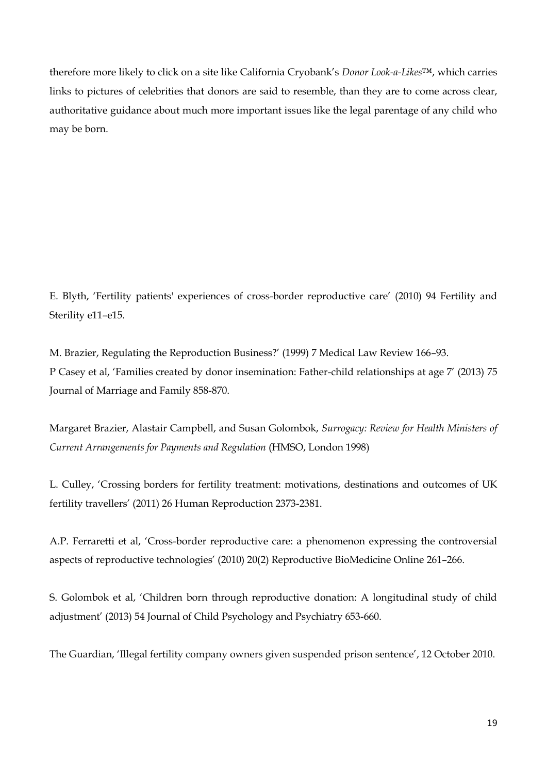therefore more likely to click on a site like California Cryobank's *Donor Look-a-Likes™*, which carries links to pictures of celebrities that donors are said to resemble, than they are to come across clear, authoritative guidance about much more important issues like the legal parentage of any child who may be born.

E. Blyth, 'Fertility patients' experiences of cross-border reproductive care' (2010) 94 Fertility and Sterility e11–e15.

M. Brazier, Regulating the Reproduction Business?' (1999) 7 Medical Law Review 166–93. P Casey et al, 'Families created by donor insemination: Father-child relationships at age 7' (2013) 75 Journal of Marriage and Family 858-870.

Margaret Brazier, Alastair Campbell, and Susan Golombok, *Surrogacy: Review for Health Ministers of Current Arrangements for Payments and Regulation* (HMSO, London 1998)

L. Culley, 'Crossing borders for fertility treatment: motivations, destinations and outcomes of UK fertility travellers' (2011) 26 Human Reproduction 2373-2381.

A.P. Ferraretti et al, 'Cross-border reproductive care: a phenomenon expressing the controversial aspects of reproductive technologies' (2010) 20(2) Reproductive BioMedicine Online 261–266.

S. Golombok et al, 'Children born through reproductive donation: A longitudinal study of child adjustment' (2013) 54 Journal of Child Psychology and Psychiatry 653-660.

The Guardian, 'Illegal fertility company owners given suspended prison sentence', 12 October 2010.